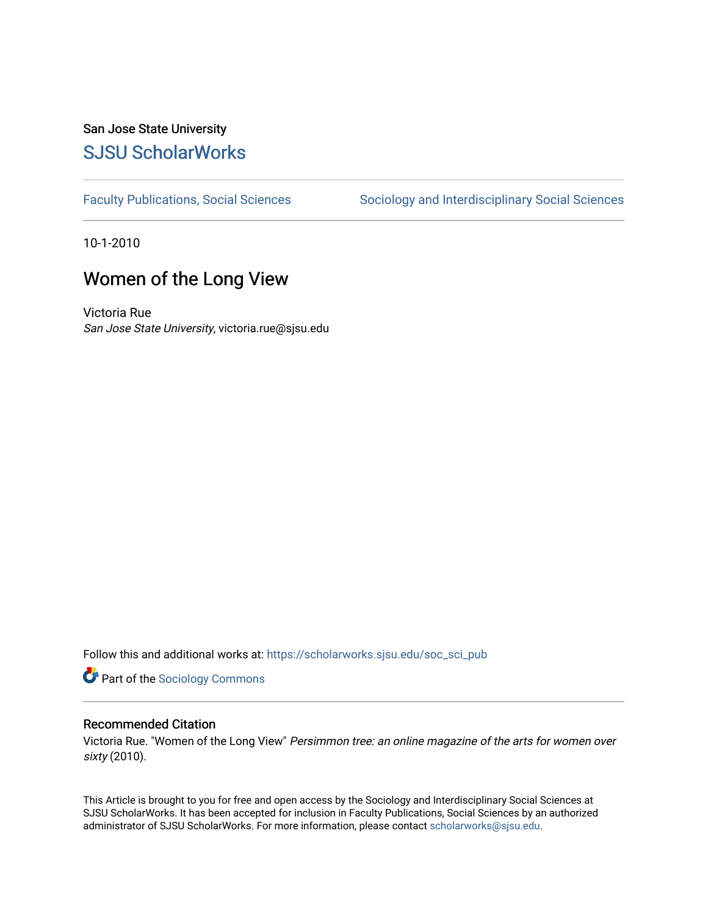#### San Jose State University [SJSU ScholarWorks](https://scholarworks.sjsu.edu/)

[Faculty Publications, Social Sciences](https://scholarworks.sjsu.edu/soc_sci_pub) Sociology and Interdisciplinary Social Sciences

10-1-2010

### Women of the Long View

Victoria Rue San Jose State University, victoria.rue@sjsu.edu

Follow this and additional works at: [https://scholarworks.sjsu.edu/soc\\_sci\\_pub](https://scholarworks.sjsu.edu/soc_sci_pub?utm_source=scholarworks.sjsu.edu%2Fsoc_sci_pub%2F6&utm_medium=PDF&utm_campaign=PDFCoverPages) 

**Part of the [Sociology Commons](http://network.bepress.com/hgg/discipline/416?utm_source=scholarworks.sjsu.edu%2Fsoc_sci_pub%2F6&utm_medium=PDF&utm_campaign=PDFCoverPages)** 

#### Recommended Citation

Victoria Rue. "Women of the Long View" Persimmon tree: an online magazine of the arts for women over sixty (2010).

This Article is brought to you for free and open access by the Sociology and Interdisciplinary Social Sciences at SJSU ScholarWorks. It has been accepted for inclusion in Faculty Publications, Social Sciences by an authorized administrator of SJSU ScholarWorks. For more information, please contact [scholarworks@sjsu.edu](mailto:scholarworks@sjsu.edu).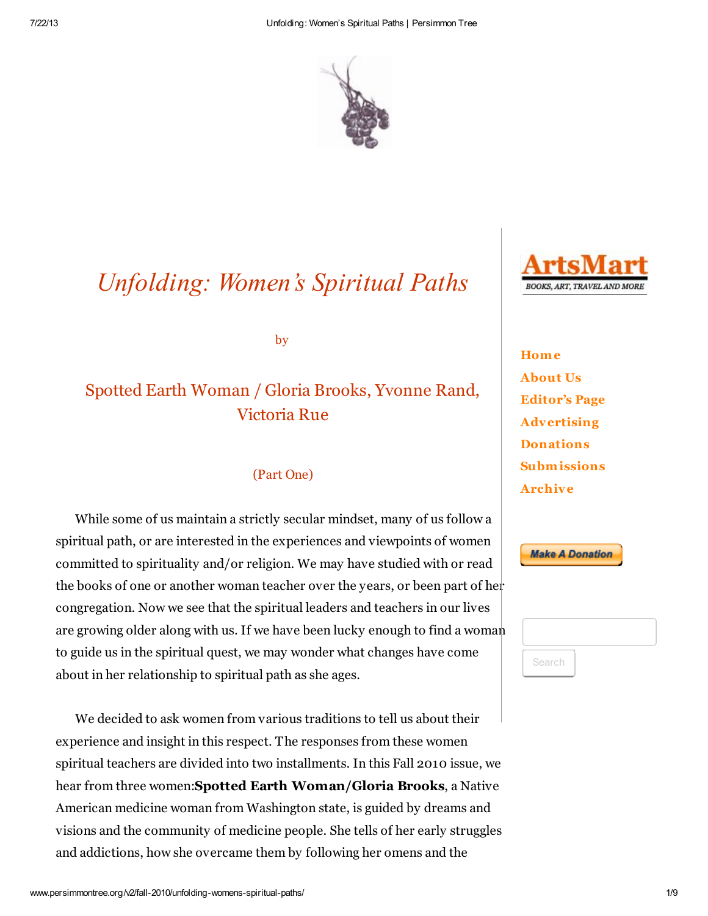

# *Unfolding: Women's Spiritual Paths*

by

## Spotted Earth Woman / Gloria Brooks, Yvonne Rand, Victoria Rue

#### (Part One)

While some of us maintain a strictly secular mindset, many of us follow a spiritual path, or are interested in the experiences and viewpoints of women committed to spirituality and/or religion. We may have studied with or read the books of one or another woman teacher over the years, or been part of her congregation. Now we see that the spiritual leaders and teachers in our lives are growing older along with us. If we have been lucky enough to find a woman to guide us in the spiritual quest, we may wonder what changes have come about in her relationship to spiritual path as she ages.

We decided to ask women from various traditions to tell us about their experience and insight in this respect. The responses from these women spiritual teachers are divided into two installments. In this Fall 2010 issue, we hear from three women:Spotted Earth Woman/Gloria Brooks, a Native American medicine woman from Washington state, is guided by dreams and visions and the community of medicine people. She tells of her early struggles and addictions, how she overcame them by following her omens and the



**Home** [About Us](http://www.persimmontree.org/v2/about-us/) [Editor's Page](http://www.persimmontree.org/v2/summer-2013/editors-page/) [Advertising](http://www.persimmontree.org/v2/advertising/) **[Donations](http://www.persimmontree.org/v2/donations/)** [Subm issions](http://www.persimmontree.org/v2/submissions/) [Archive](http://www.persimmontree.org/v2/full-archive/)



Search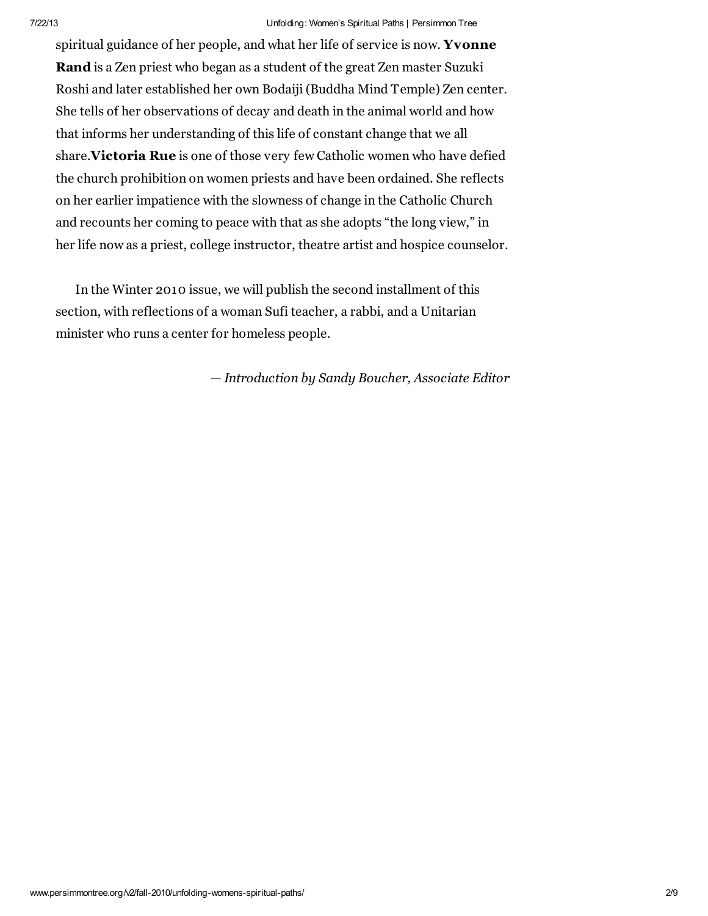#### 7/22/13 Unfolding: Women's Spiritual Paths | Persimmon Tree

spiritual guidance of her people, and what her life of service is now. Yvonne Rand is a Zen priest who began as a student of the great Zen master Suzuki Roshi and later established her own Bodaiji (Buddha Mind Temple) Zen center. She tells of her observations of decay and death in the animal world and how that informs her understanding of this life of constant change that we all share.Victoria Rue is one of those very few Catholic women who have defied the church prohibition on women priests and have been ordained. She reflects on her earlier impatience with the slowness of change in the Catholic Church and recounts her coming to peace with that as she adopts "the long view," in her life now as a priest, college instructor, theatre artist and hospice counselor.

In the Winter 2010 issue, we will publish the second installment of this section, with reflections of a woman Sufi teacher, a rabbi, and a Unitarian minister who runs a center for homeless people.

*— Introduction by Sandy Boucher, Associate Editor*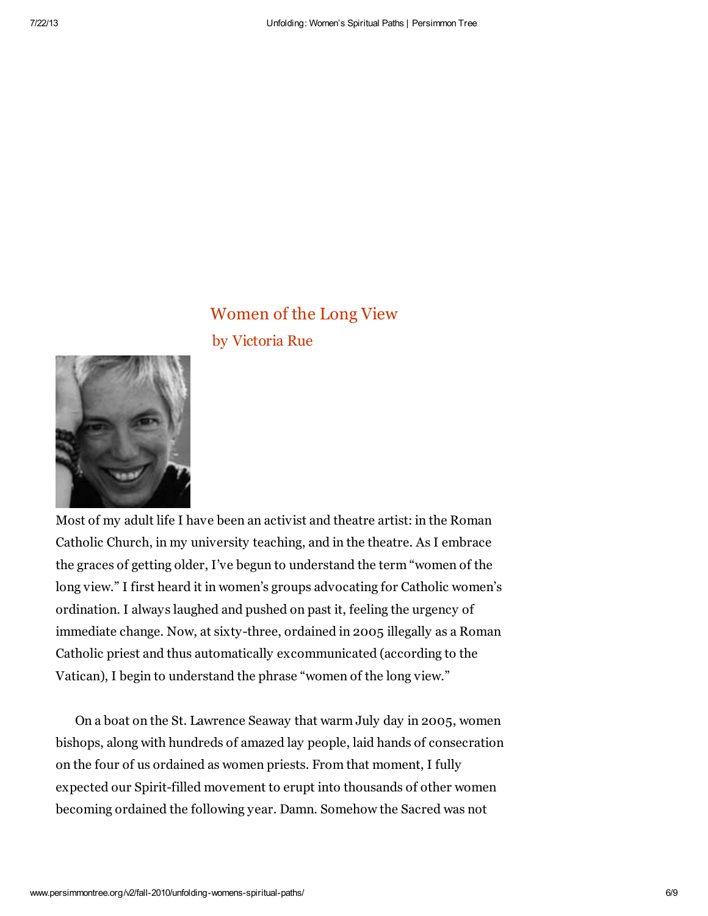### Women of the Long View by Victoria Rue



Most of my adult life I have been an activist and theatre artist: in the Roman Catholic Church, in my university teaching, and in the theatre. As I embrace the graces of getting older, I've begun to understand the term "women of the long view." I first heard it in women's groups advocating for Catholic women's ordination. I always laughed and pushed on past it, feeling the urgency of immediate change. Now, at sixty-three, ordained in 2005 illegally as a Roman Catholic priest and thus automatically excommunicated (according to the Vatican), I begin to understand the phrase "women of the long view."

On a boat on the St. Lawrence Seaway that warm July day in 2005, women bishops, along with hundreds of amazed lay people, laid hands of consecration on the four of us ordained as women priests. From that moment, I fully expected our Spirit-filled movement to erupt into thousands of other women becoming ordained the following year. Damn. Somehow the Sacred was not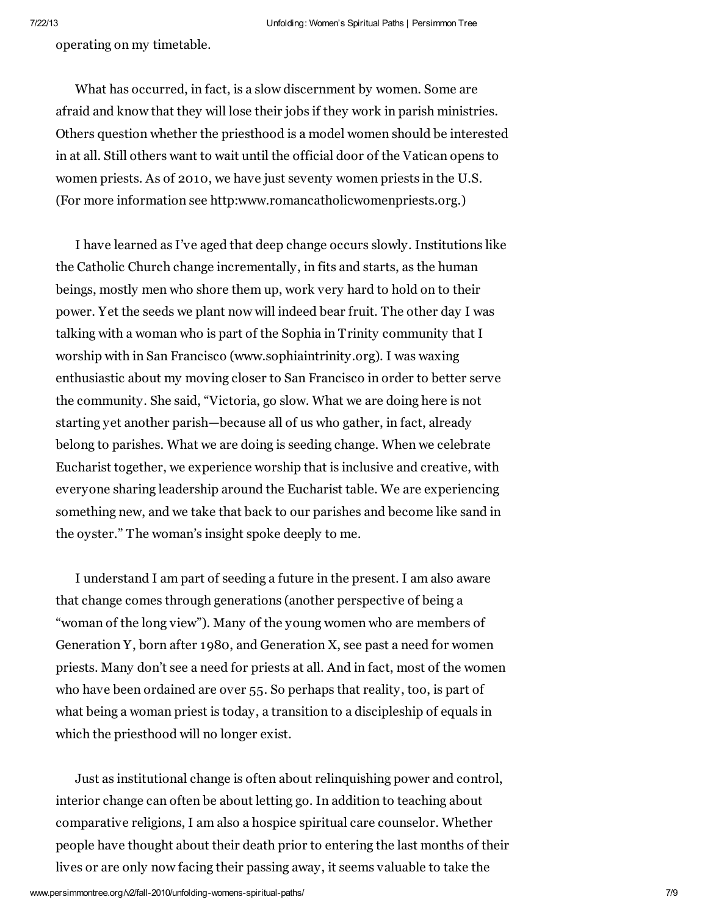operating on my timetable.

What has occurred, in fact, is a slow discernment by women. Some are afraid and know that they will lose their jobs if they work in parish ministries. Others question whether the priesthood is a model women should be interested in at all. Still others want to wait until the official door of the Vatican opens to women priests. As of 2010, we have just seventy women priests in the U.S. (For more information see http:www.romancatholicwomenpriests.org.)

I have learned as I've aged that deep change occurs slowly. Institutions like the Catholic Church change incrementally, in fits and starts, as the human beings, mostly men who shore them up, work very hard to hold on to their power. Yet the seeds we plant now will indeed bear fruit. The other day I was talking with a woman who is part of the Sophia in Trinity community that I worship with in San Francisco (www.sophiaintrinity.org). I was waxing enthusiastic about my moving closer to San Francisco in order to better serve the community. She said, "Victoria, go slow. What we are doing here is not starting yet another parish—because all of us who gather, in fact, already belong to parishes. What we are doing is seeding change. When we celebrate Eucharist together, we experience worship that is inclusive and creative, with everyone sharing leadership around the Eucharist table. We are experiencing something new, and we take that back to our parishes and become like sand in the oyster." The woman's insight spoke deeply to me.

I understand I am part of seeding a future in the present. I am also aware that change comes through generations (another perspective of being a "woman of the long view"). Many of the young women who are members of Generation Y, born after 1980, and Generation X, see past a need for women priests. Many don't see a need for priests at all. And in fact, most of the women who have been ordained are over 55. So perhaps that reality, too, is part of what being a woman priest is today, a transition to a discipleship of equals in which the priesthood will no longer exist.

Just as institutional change is often about relinquishing power and control, interior change can often be about letting go. In addition to teaching about comparative religions, I am also a hospice spiritual care counselor. Whether people have thought about their death prior to entering the last months of their lives or are only now facing their passing away, it seems valuable to take the